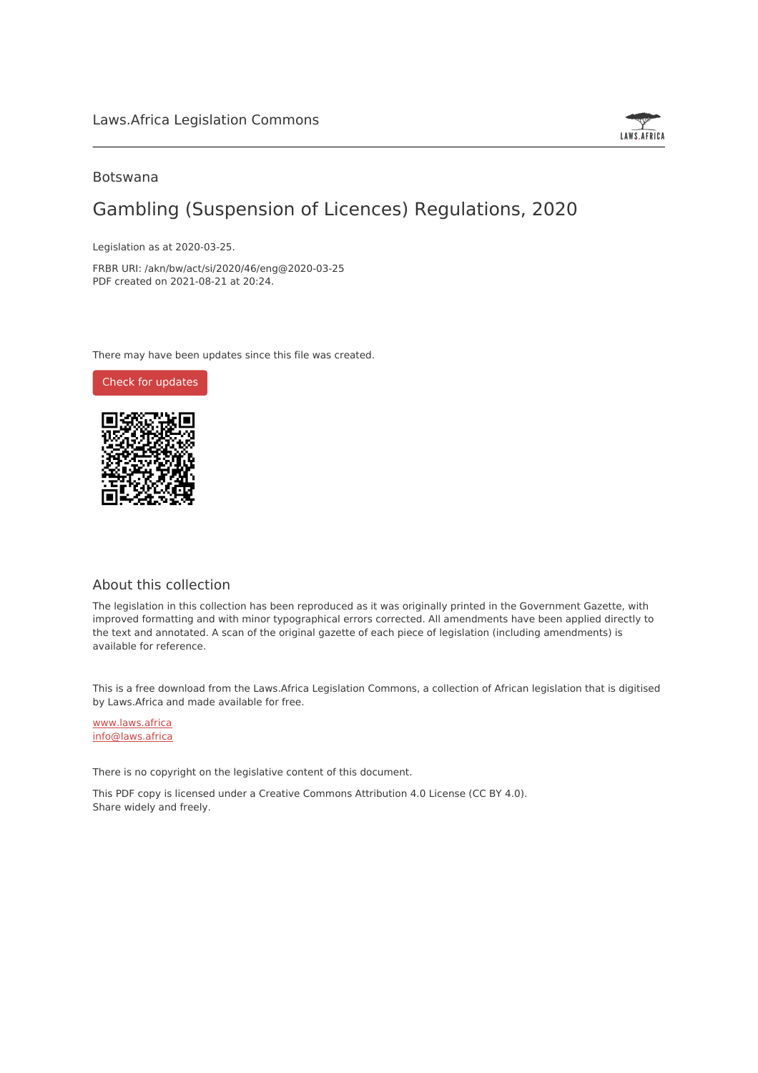

### Botswana

## Gambling (Suspension of Licences) Regulations, 2020

Legislation as at 2020-03-25.

FRBR URI: /akn/bw/act/si/2020/46/eng@2020-03-25 PDF created on 2021-08-21 at 20:24.

There may have been updates since this file was created.

Check for [updates](https://commons.laws.africa/akn/bw/act/si/2020/46/eng@2020-03-25?ts=2021-08-21T20:24:18.111806+00:00)



### About this collection

The legislation in this collection has been reproduced as it was originally printed in the Government Gazette, with improved formatting and with minor typographical errors corrected. All amendments have been applied directly to the text and annotated. A scan of the original gazette of each piece of legislation (including amendments) is available for reference.

This is a free download from the Laws.Africa Legislation Commons, a collection of African legislation that is digitised by Laws.Africa and made available for free.

[www.laws.africa](https://www.laws.africa) [info@laws.africa](mailto:info@laws.africa)

There is no copyright on the legislative content of this document.

This PDF copy is licensed under a Creative Commons Attribution 4.0 License (CC BY 4.0). Share widely and freely.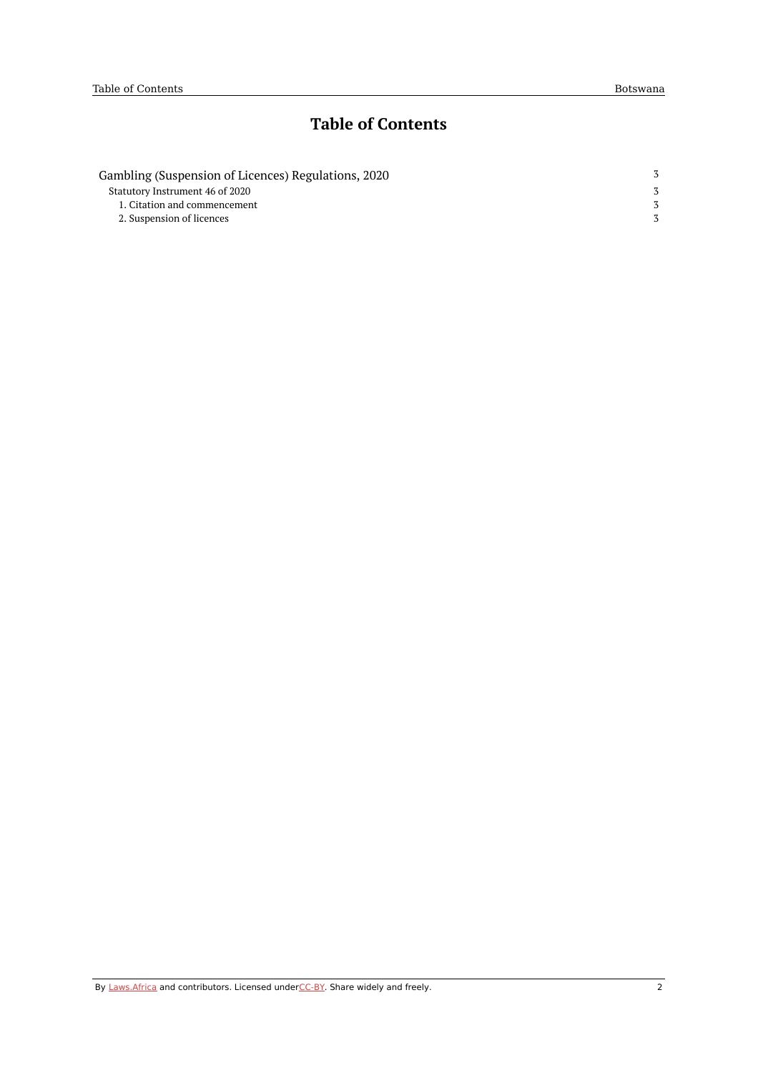## **Table of Contents**

| Gambling (Suspension of Licences) Regulations, 2020 |  |
|-----------------------------------------------------|--|
| Statutory Instrument 46 of 2020                     |  |
| 1. Citation and commencement                        |  |
| 2. Suspension of licences                           |  |